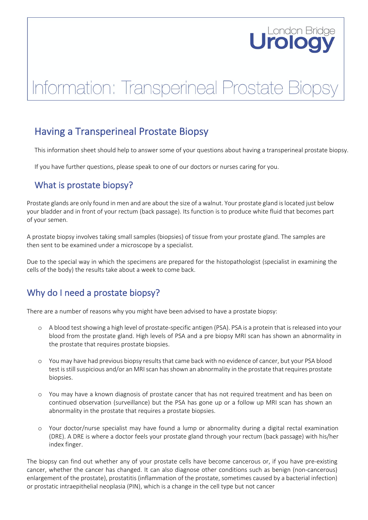# London Bridge

# Information: Transperineal Prostate Bio

# Having a Transperineal Prostate Biopsy

This information sheet should help to answer some of your questions about having a transperineal prostate biopsy.

If you have further questions, please speak to one of our doctors or nurses caring for you.

## What is prostate biopsy?

Prostate glands are only found in men and are about the size of a walnut. Your prostate gland is located just below your bladder and in front of your rectum (back passage). Its function is to produce white fluid that becomes part of your semen.

A prostate biopsy involves taking small samples (biopsies) of tissue from your prostate gland. The samples are then sent to be examined under a microscope by a specialist.

Due to the special way in which the specimens are prepared for the histopathologist (specialist in examining the cells of the body) the results take about a week to come back.

# Why do I need a prostate biopsy?

There are a number of reasons why you might have been advised to have a prostate biopsy:

- o A blood test showing a high level of prostate-specific antigen (PSA). PSA is a protein that is released into your blood from the prostate gland. High levels of PSA and a pre biopsy MRI scan has shown an abnormality in the prostate that requires prostate biopsies.
- o You may have had previous biopsy results that came back with no evidence of cancer, but your PSA blood test is still suspicious and/or an MRI scan has shown an abnormality in the prostate that requires prostate biopsies.
- o You may have a known diagnosis of prostate cancer that has not required treatment and has been on continued observation (surveillance) but the PSA has gone up or a follow up MRI scan has shown an abnormality in the prostate that requires a prostate biopsies.
- o Your doctor/nurse specialist may have found a lump or abnormality during a digital rectal examination (DRE). A DRE is where a doctor feels your prostate gland through your rectum (back passage) with his/her index finger.

The biopsy can find out whether any of your prostate cells have become cancerous or, if you have pre-existing cancer, whether the cancer has changed. It can also diagnose other conditions such as benign (non-cancerous) enlargement of the prostate), prostatitis (inflammation of the prostate, sometimes caused by a bacterial infection) or prostatic intraepithelial neoplasia (PIN), which is a change in the cell type but not cancer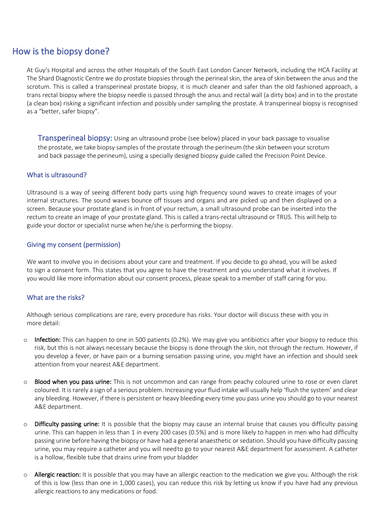### How is the biopsy done?

At Guy's Hospital and across the other Hospitals of the South East London Cancer Network, including the HCA Facility at The Shard Diagnostic Centre we do prostate biopsies through the perineal skin, the area of skin between the anus and the scrotum. This is called a transperineal prostate biopsy, it is much cleaner and safer than the old fashioned approach, a trans rectal biopsy where the biopsy needle is passed through the anus and rectal wall (a dirty box) and in to the prostate (a clean box) risking a significant infection and possibly under sampling the prostate. A transperineal biopsy is recognised as a "better, safer biopsy".

Transperineal biopsy: Using an ultrasound probe (see below) placed in your back passage to visualise the prostate, we take biopsy samples of the prostate through the perineum (the skin between your scrotum and back passage the perineum), using a specially designed biopsy guide called the Precision Point Device.

#### What is ultrasound?

Ultrasound is a way of seeing different body parts using high frequency sound waves to create images of your internal structures. The sound waves bounce off tissues and organs and are picked up and then displayed on a screen. Because your prostate gland is in front of your rectum, a small ultrasound probe can be inserted into the rectum to create an image of your prostate gland. This is called a trans-rectal ultrasound or TRUS. This will help to guide your doctor or specialist nurse when he/she is performing the biopsy.

#### Giving my consent (permission)

We want to involve you in decisions about your care and treatment. If you decide to go ahead, you will be asked to sign a consent form. This states that you agree to have the treatment and you understand what it involves. If you would like more information about our consent process, please speak to a member of staff caring for you.

#### What are the risks?

Although serious complications are rare, every procedure has risks. Your doctor will discuss these with you in more detail:

- $\circ$  Infection: This can happen to one in 500 patients (0.2%). We may give you antibiotics after your biopsy to reduce this risk, but this is not always necessary because the biopsy is done through the skin, not through the rectum. However, if you develop a fever, or have pain or a burning sensation passing urine, you might have an infection and should seek attention from your nearest A&E department.
- o Blood when you pass urine: This is not uncommon and can range from peachy coloured urine to rose or even claret coloured. It is rarely a sign of a serious problem. Increasing your fluid intake will usually help 'flush the system' and clear any bleeding. However, if there is persistent or heavy bleeding every time you pass urine you should go to your nearest A&E department.
- $\circ$  Difficulty passing urine: It is possible that the biopsy may cause an internal bruise that causes you difficulty passing urine. This can happen in less than 1 in every 200 cases (0.5%) and is more likely to happen in men who had difficulty passing urine before having the biopsy or have had a general anaesthetic or sedation. Should you have difficulty passing urine, you may require a catheter and you will needto go to your nearest A&E department for assessment. A catheter is a hollow, flexible tube that drains urine from your bladder
- $\circ$  Allergic reaction: It is possible that you may have an allergic reaction to the medication we give you. Although the risk of this is low (less than one in 1,000 cases), you can reduce this risk by letting us know if you have had any previous allergic reactions to any medications or food.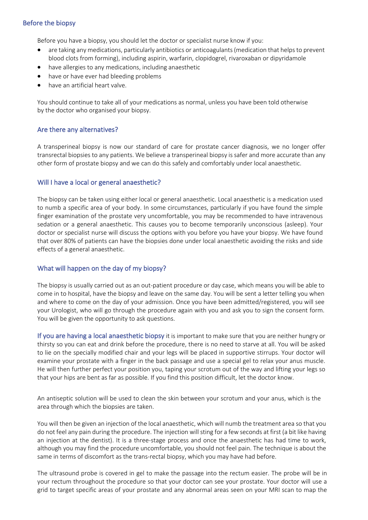#### Before the biopsy

Before you have a biopsy, you should let the doctor or specialist nurse know if you:

- are taking any medications, particularly antibiotics or anticoagulants (medication that helps to prevent blood clots from forming), including aspirin, warfarin, clopidogrel, rivaroxaban or dipyridamole
- have allergies to any medications, including anaesthetic
- have or have ever had bleeding problems
- have an artificial heart valve.

You should continue to take all of your medications as normal, unless you have been told otherwise by the doctor who organised your biopsy.

#### Are there any alternatives?

A transperineal biopsy is now our standard of care for prostate cancer diagnosis, we no longer offer transrectal biopsies to any patients. We believe a transperineal biopsy is safer and more accurate than any other form of prostate biopsy and we can do this safely and comfortably under local anaesthetic.

#### Will I have a local or general anaesthetic?

The biopsy can be taken using either local or general anaesthetic. Local anaesthetic is a medication used to numb a specific area of your body. In some circumstances, particularly if you have found the simple finger examination of the prostate very uncomfortable, you may be recommended to have intravenous sedation or a general anaesthetic. This causes you to become temporarily unconscious (asleep). Your doctor or specialist nurse will discuss the options with you before you have your biopsy. We have found that over 80% of patients can have the biopsies done under local anaesthetic avoiding the risks and side effects of a general anaesthetic.

#### What will happen on the day of my biopsy?

The biopsy is usually carried out as an out-patient procedure or day case, which means you will be able to come in to hospital, have the biopsy and leave on the same day. You will be sent a letter telling you when and where to come on the day of your admission. Once you have been admitted/registered, you will see your Urologist, who will go through the procedure again with you and ask you to sign the consent form. You will be given the opportunity to ask questions.

If you are having a local anaesthetic biopsy it is important to make sure that you are neither hungry or thirsty so you can eat and drink before the procedure, there is no need to starve at all. You will be asked to lie on the specially modified chair and your legs will be placed in supportive stirrups. Your doctor will examine your prostate with a finger in the back passage and use a special gel to relax your anus muscle. He will then further perfect your position you, taping your scrotum out of the way and lifting your legs so that your hips are bent as far as possible. If you find this position difficult, let the doctor know.

An antiseptic solution will be used to clean the skin between your scrotum and your anus, which is the area through which the biopsies are taken.

You will then be given an injection of the local anaesthetic, which will numb the treatment area so that you do not feel any pain during the procedure. The injection will sting for a few seconds at first (a bit like having an injection at the dentist). It is a three-stage process and once the anaesthetic has had time to work, although you may find the procedure uncomfortable, you should not feel pain. The technique is about the same in terms of discomfort as the trans-rectal biopsy, which you may have had before.

The ultrasound probe is covered in gel to make the passage into the rectum easier. The probe will be in your rectum throughout the procedure so that your doctor can see your prostate. Your doctor will use a grid to target specific areas of your prostate and any abnormal areas seen on your MRI scan to map the